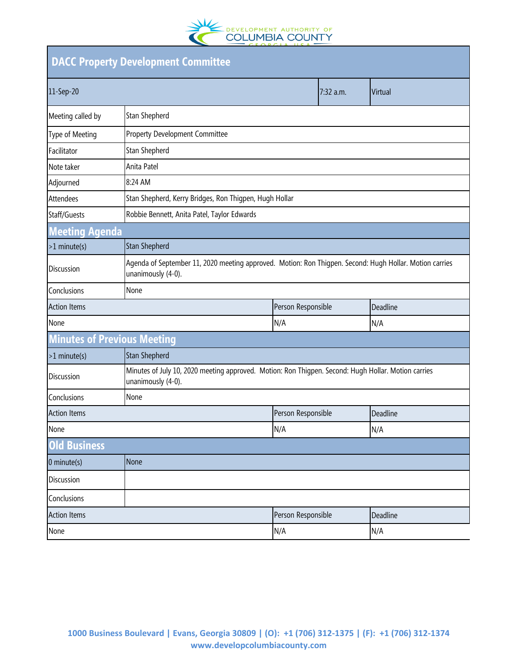

| <b>DACC Property Development Committee</b> |                                                                                                                               |                    |           |          |  |  |
|--------------------------------------------|-------------------------------------------------------------------------------------------------------------------------------|--------------------|-----------|----------|--|--|
| 11-Sep-20                                  |                                                                                                                               |                    | 7:32 a.m. | Virtual  |  |  |
| Meeting called by                          | Stan Shepherd                                                                                                                 |                    |           |          |  |  |
| Type of Meeting                            | <b>Property Development Committee</b>                                                                                         |                    |           |          |  |  |
| Facilitator                                | Stan Shepherd                                                                                                                 |                    |           |          |  |  |
| Note taker                                 | Anita Patel                                                                                                                   |                    |           |          |  |  |
| Adjourned                                  | 8:24 AM                                                                                                                       |                    |           |          |  |  |
| Attendees                                  | Stan Shepherd, Kerry Bridges, Ron Thigpen, Hugh Hollar                                                                        |                    |           |          |  |  |
| Staff/Guests                               | Robbie Bennett, Anita Patel, Taylor Edwards                                                                                   |                    |           |          |  |  |
| <b>Meeting Agenda</b>                      |                                                                                                                               |                    |           |          |  |  |
| $>1$ minute(s)                             | <b>Stan Shepherd</b>                                                                                                          |                    |           |          |  |  |
| <b>Discussion</b>                          | Agenda of September 11, 2020 meeting approved. Motion: Ron Thigpen. Second: Hugh Hollar. Motion carries<br>unanimously (4-0). |                    |           |          |  |  |
| Conclusions                                | None                                                                                                                          |                    |           |          |  |  |
| <b>Action Items</b>                        |                                                                                                                               | Person Responsible |           | Deadline |  |  |
| None                                       |                                                                                                                               | N/A                |           | N/A      |  |  |
| <b>Minutes of Previous Meeting</b>         |                                                                                                                               |                    |           |          |  |  |
| $>1$ minute(s)                             | <b>Stan Shepherd</b>                                                                                                          |                    |           |          |  |  |
| <b>Discussion</b>                          | Minutes of July 10, 2020 meeting approved. Motion: Ron Thigpen. Second: Hugh Hollar. Motion carries<br>unanimously (4-0).     |                    |           |          |  |  |
| None<br>Conclusions                        |                                                                                                                               |                    |           |          |  |  |
| <b>Action Items</b>                        |                                                                                                                               | Person Responsible |           | Deadline |  |  |
| None                                       |                                                                                                                               | N/A                |           | N/A      |  |  |
| <b>Old Business</b>                        |                                                                                                                               |                    |           |          |  |  |
| $0$ minute(s)                              | None                                                                                                                          |                    |           |          |  |  |
| Discussion                                 |                                                                                                                               |                    |           |          |  |  |
| Conclusions                                |                                                                                                                               |                    |           |          |  |  |
| <b>Action Items</b>                        |                                                                                                                               | Person Responsible |           | Deadline |  |  |
| None                                       |                                                                                                                               | N/A                |           | N/A      |  |  |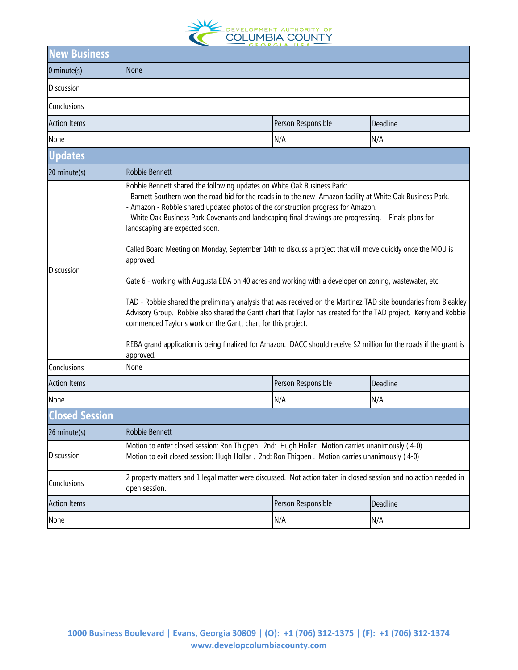

| lew Business          |                                                                                                                                                                                                                                                                                                                                                                                                                                                                                                                                                                                                                                                                                                                                                                                                                                                                                                                                                                                                                                                                                                       |                    |          |  |  |  |
|-----------------------|-------------------------------------------------------------------------------------------------------------------------------------------------------------------------------------------------------------------------------------------------------------------------------------------------------------------------------------------------------------------------------------------------------------------------------------------------------------------------------------------------------------------------------------------------------------------------------------------------------------------------------------------------------------------------------------------------------------------------------------------------------------------------------------------------------------------------------------------------------------------------------------------------------------------------------------------------------------------------------------------------------------------------------------------------------------------------------------------------------|--------------------|----------|--|--|--|
| $0$ minute(s)         | None                                                                                                                                                                                                                                                                                                                                                                                                                                                                                                                                                                                                                                                                                                                                                                                                                                                                                                                                                                                                                                                                                                  |                    |          |  |  |  |
| Discussion            |                                                                                                                                                                                                                                                                                                                                                                                                                                                                                                                                                                                                                                                                                                                                                                                                                                                                                                                                                                                                                                                                                                       |                    |          |  |  |  |
| Conclusions           |                                                                                                                                                                                                                                                                                                                                                                                                                                                                                                                                                                                                                                                                                                                                                                                                                                                                                                                                                                                                                                                                                                       |                    |          |  |  |  |
| <b>Action Items</b>   | Person Responsible<br>Deadline                                                                                                                                                                                                                                                                                                                                                                                                                                                                                                                                                                                                                                                                                                                                                                                                                                                                                                                                                                                                                                                                        |                    |          |  |  |  |
| None                  | N/A<br>N/A                                                                                                                                                                                                                                                                                                                                                                                                                                                                                                                                                                                                                                                                                                                                                                                                                                                                                                                                                                                                                                                                                            |                    |          |  |  |  |
| <b>Updates</b>        |                                                                                                                                                                                                                                                                                                                                                                                                                                                                                                                                                                                                                                                                                                                                                                                                                                                                                                                                                                                                                                                                                                       |                    |          |  |  |  |
| 20 minute(s)          | Robbie Bennett                                                                                                                                                                                                                                                                                                                                                                                                                                                                                                                                                                                                                                                                                                                                                                                                                                                                                                                                                                                                                                                                                        |                    |          |  |  |  |
| <b>Discussion</b>     | Robbie Bennett shared the following updates on White Oak Business Park:<br>Barnett Southern won the road bid for the roads in to the new Amazon facility at White Oak Business Park.<br>- Amazon - Robbie shared updated photos of the construction progress for Amazon.<br>-White Oak Business Park Covenants and landscaping final drawings are progressing.<br>Finals plans for<br>landscaping are expected soon.<br>Called Board Meeting on Monday, September 14th to discuss a project that will move quickly once the MOU is<br>approved.<br>Gate 6 - working with Augusta EDA on 40 acres and working with a developer on zoning, wastewater, etc.<br>TAD - Robbie shared the preliminary analysis that was received on the Martinez TAD site boundaries from Bleakley<br>Advisory Group. Robbie also shared the Gantt chart that Taylor has created for the TAD project. Kerry and Robbie<br>commended Taylor's work on the Gantt chart for this project.<br>REBA grand application is being finalized for Amazon. DACC should receive \$2 million for the roads if the grant is<br>approved. |                    |          |  |  |  |
| Conclusions           | None                                                                                                                                                                                                                                                                                                                                                                                                                                                                                                                                                                                                                                                                                                                                                                                                                                                                                                                                                                                                                                                                                                  |                    |          |  |  |  |
| <b>Action Items</b>   |                                                                                                                                                                                                                                                                                                                                                                                                                                                                                                                                                                                                                                                                                                                                                                                                                                                                                                                                                                                                                                                                                                       | Person Responsible | Deadline |  |  |  |
| None                  |                                                                                                                                                                                                                                                                                                                                                                                                                                                                                                                                                                                                                                                                                                                                                                                                                                                                                                                                                                                                                                                                                                       | N/A                | N/A      |  |  |  |
| <b>Closed Session</b> |                                                                                                                                                                                                                                                                                                                                                                                                                                                                                                                                                                                                                                                                                                                                                                                                                                                                                                                                                                                                                                                                                                       |                    |          |  |  |  |
| 26 minute(s)          | Robbie Bennett                                                                                                                                                                                                                                                                                                                                                                                                                                                                                                                                                                                                                                                                                                                                                                                                                                                                                                                                                                                                                                                                                        |                    |          |  |  |  |
| Discussion            | Motion to enter closed session: Ron Thigpen. 2nd: Hugh Hollar. Motion carries unanimously (4-0)<br>Motion to exit closed session: Hugh Hollar . 2nd: Ron Thigpen . Motion carries unanimously (4-0)                                                                                                                                                                                                                                                                                                                                                                                                                                                                                                                                                                                                                                                                                                                                                                                                                                                                                                   |                    |          |  |  |  |
| Conclusions           | 2 property matters and 1 legal matter were discussed. Not action taken in closed session and no action needed in<br>open session.                                                                                                                                                                                                                                                                                                                                                                                                                                                                                                                                                                                                                                                                                                                                                                                                                                                                                                                                                                     |                    |          |  |  |  |
| <b>Action Items</b>   |                                                                                                                                                                                                                                                                                                                                                                                                                                                                                                                                                                                                                                                                                                                                                                                                                                                                                                                                                                                                                                                                                                       | Person Responsible | Deadline |  |  |  |
| None                  |                                                                                                                                                                                                                                                                                                                                                                                                                                                                                                                                                                                                                                                                                                                                                                                                                                                                                                                                                                                                                                                                                                       | N/A                | N/A      |  |  |  |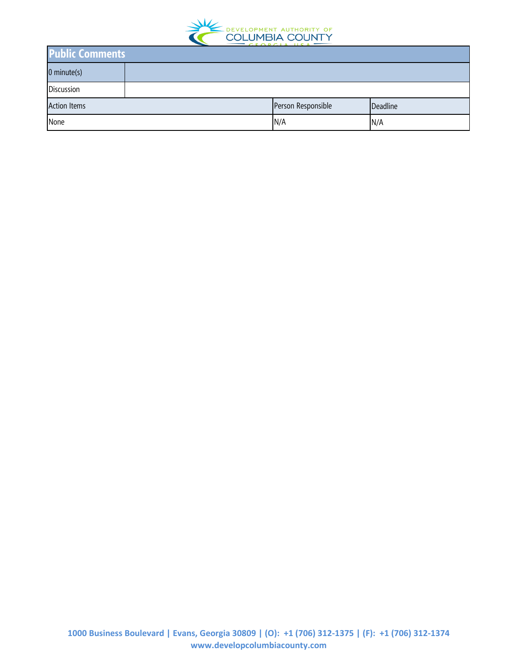

| <b>Public Comments</b> |  |                    |          |  |  |
|------------------------|--|--------------------|----------|--|--|
| $0$ minute(s)          |  |                    |          |  |  |
| Discussion             |  |                    |          |  |  |
| <b>Action Items</b>    |  | Person Responsible | Deadline |  |  |
| None                   |  | N/A                | N/A      |  |  |